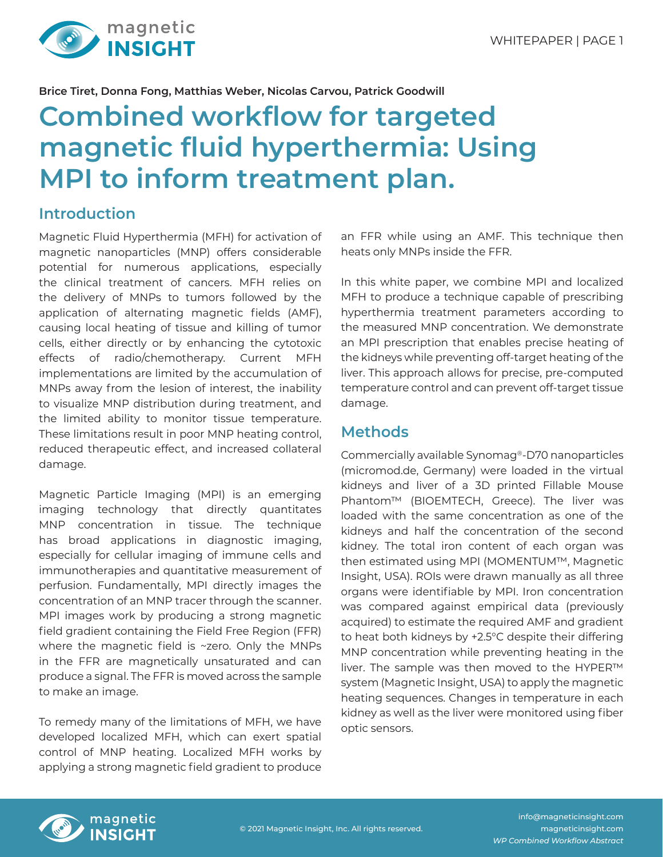

**Brice Tiret, Donna Fong, Matthias Weber, Nicolas Carvou, Patrick Goodwill**

# **Combined workflow for targeted magnetic fluid hyperthermia: Using MPI to inform treatment plan.**

## **Introduction**

Magnetic Fluid Hyperthermia (MFH) for activation of magnetic nanoparticles (MNP) offers considerable potential for numerous applications, especially the clinical treatment of cancers. MFH relies on the delivery of MNPs to tumors followed by the application of alternating magnetic fields (AMF), causing local heating of tissue and killing of tumor cells, either directly or by enhancing the cytotoxic effects of radio/chemotherapy. Current MFH implementations are limited by the accumulation of MNPs away from the lesion of interest, the inability to visualize MNP distribution during treatment, and the limited ability to monitor tissue temperature. These limitations result in poor MNP heating control, reduced therapeutic effect, and increased collateral damage.

Magnetic Particle Imaging (MPI) is an emerging imaging technology that directly quantitates MNP concentration in tissue. The technique has broad applications in diagnostic imaging, especially for cellular imaging of immune cells and immunotherapies and quantitative measurement of perfusion. Fundamentally, MPI directly images the concentration of an MNP tracer through the scanner. MPI images work by producing a strong magnetic field gradient containing the Field Free Region (FFR) where the magnetic field is ~zero. Only the MNPs in the FFR are magnetically unsaturated and can produce a signal. The FFR is moved across the sample to make an image.

To remedy many of the limitations of MFH, we have developed localized MFH, which can exert spatial control of MNP heating. Localized MFH works by applying a strong magnetic field gradient to produce

an FFR while using an AMF. This technique then heats only MNPs inside the FFR.

In this white paper, we combine MPI and localized MFH to produce a technique capable of prescribing hyperthermia treatment parameters according to the measured MNP concentration. We demonstrate an MPI prescription that enables precise heating of the kidneys while preventing off-target heating of the liver. This approach allows for precise, pre-computed temperature control and can prevent off-target tissue damage.

### **Methods**

Commercially available Synomag®-D70 nanoparticles (micromod.de, Germany) were loaded in the virtual kidneys and liver of a 3D printed Fillable Mouse Phantom™ (BIOEMTECH, Greece). The liver was loaded with the same concentration as one of the kidneys and half the concentration of the second kidney. The total iron content of each organ was then estimated using MPI (MOMENTUM™, Magnetic Insight, USA). ROIs were drawn manually as all three organs were identifiable by MPI. Iron concentration was compared against empirical data (previously acquired) to estimate the required AMF and gradient to heat both kidneys by +2.5°C despite their differing MNP concentration while preventing heating in the liver. The sample was then moved to the HYPER™ system (Magnetic Insight, USA) to apply the magnetic heating sequences. Changes in temperature in each kidney as well as the liver were monitored using fiber optic sensors.



info@magneticinsight.com magneticinsight.com *WP Combined Workflow Abstract*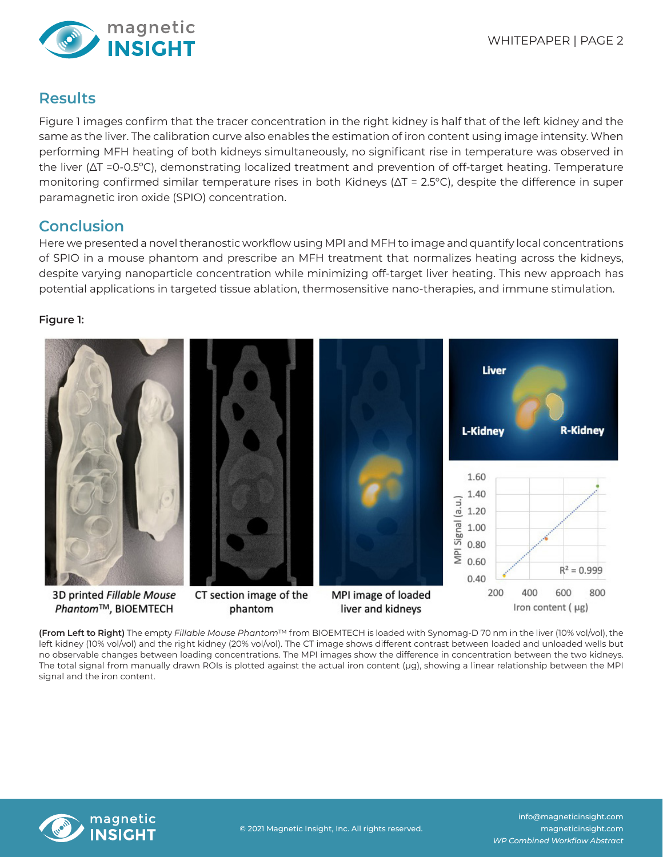

### **Results**

Figure 1 images confirm that the tracer concentration in the right kidney is half that of the left kidney and the same as the liver. The calibration curve also enables the estimation of iron content using image intensity. When performing MFH heating of both kidneys simultaneously, no significant rise in temperature was observed in the liver (∆T =0-0.5ºC), demonstrating localized treatment and prevention of off-target heating. Temperature monitoring confirmed similar temperature rises in both Kidneys (∆T = 2.5°C), despite the difference in super paramagnetic iron oxide (SPIO) concentration.

### **Conclusion**

Here we presented a novel theranostic workflow using MPI and MFH to image and quantify local concentrations of SPIO in a mouse phantom and prescribe an MFH treatment that normalizes heating across the kidneys, despite varying nanoparticle concentration while minimizing off-target liver heating. This new approach has potential applications in targeted tissue ablation, thermosensitive nano-therapies, and immune stimulation.

#### **Figure 1:**



**(From Left to Right)** The empty *Fillable Mouse Phantom*™ from BIOEMTECH is loaded with Synomag-D 70 nm in the liver (10% vol/vol), the left kidney (10% vol/vol) and the right kidney (20% vol/vol). The CT image shows different contrast between loaded and unloaded wells but no observable changes between loading concentrations. The MPI images show the difference in concentration between the two kidneys. The total signal from manually drawn ROIs is plotted against the actual iron content (μg), showing a linear relationship between the MPI signal and the iron content.



info@magneticinsight.com magneticinsight.com *WP Combined Workflow Abstract*